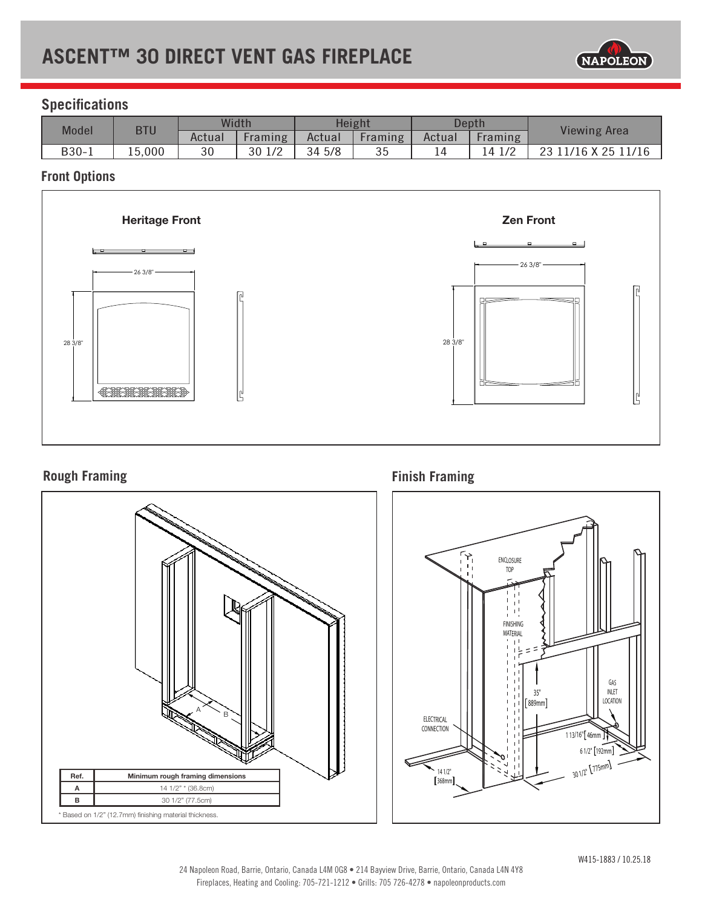## **ASCENT™ 30 DIRECT VENT GAS FIREPLACE**



## **Specifications**

| Model   | <b>BTU</b> | Width  |           | Height |         | Depth  |                   | <b>Viewing Area</b> |
|---------|------------|--------|-----------|--------|---------|--------|-------------------|---------------------|
|         |            | Actual | Framing   | Actual | Framing | Actual | <b>Framing</b>    |                     |
| $B30-1$ | 15,000     | 30     | 30<br>1/2 | 34 5/8 | 35      | 14     | $\sqrt{2}$<br>4 1 | 11/16 X 25 11/16    |

### **Front Options**



### **Rough Framing**



**Finish Framing**

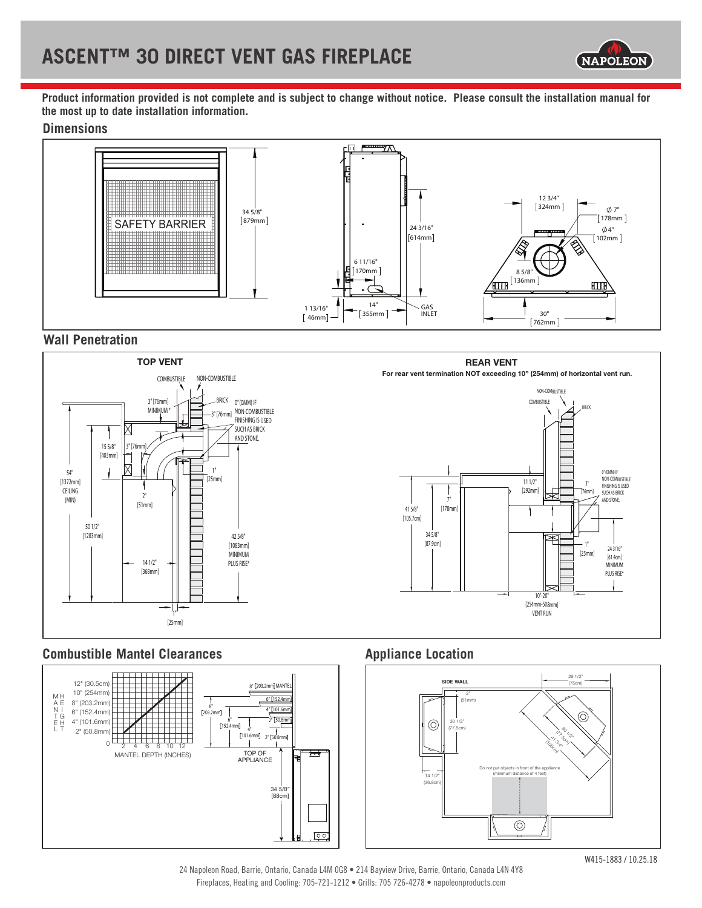

**Product information provided is not complete and is subject to change without notice. Please consult the installation manual for the most up to date installation information.**

### **Dimensions**



### **Wall Penetration**



### **Combustible Mantel Clearances Appliance Location**





24 Napoleon Road, Barrie, Ontario, Canada L4M OG8 • 214 Bayview Drive, Barrie, Ontario, Canada L4N 4Y8 Fireplaces, Heating and Cooling: 705-721-1212 • Grills: 705 726-4278 • napoleonproducts.com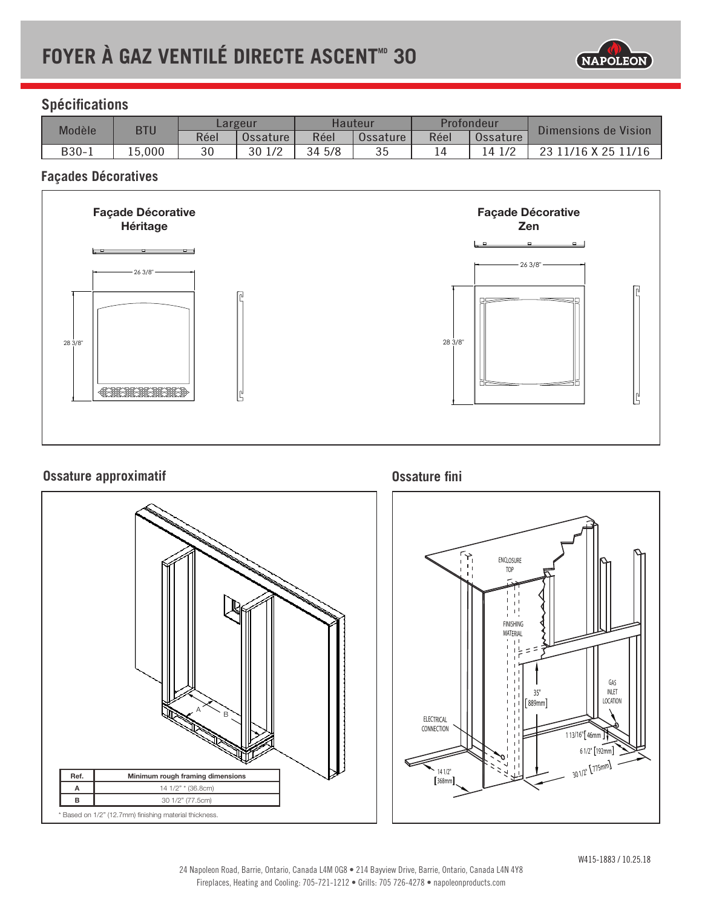# **FOYER À GAZ VENTILÉ DIRECTE ASCENT**<sup>®</sup> 30



### **Spécifications**

| Modèle | <b>BTU</b> | Largeur |          | Hauteur |          | Profondeur |           | Dimensions de Vision |
|--------|------------|---------|----------|---------|----------|------------|-----------|----------------------|
|        |            | Réel    | Ossature | Réel    | Ossature | Réel       | Ossature  |                      |
| B30-1  | 15,000     | 30      | 30 1/2   | 34 5/8  | 35       |            | 1/2<br>ι4 | 23 11/16 X 25 11/16  |

### **Façades Décoratives**



### **Ossature approximatif**



**Ossature fini**